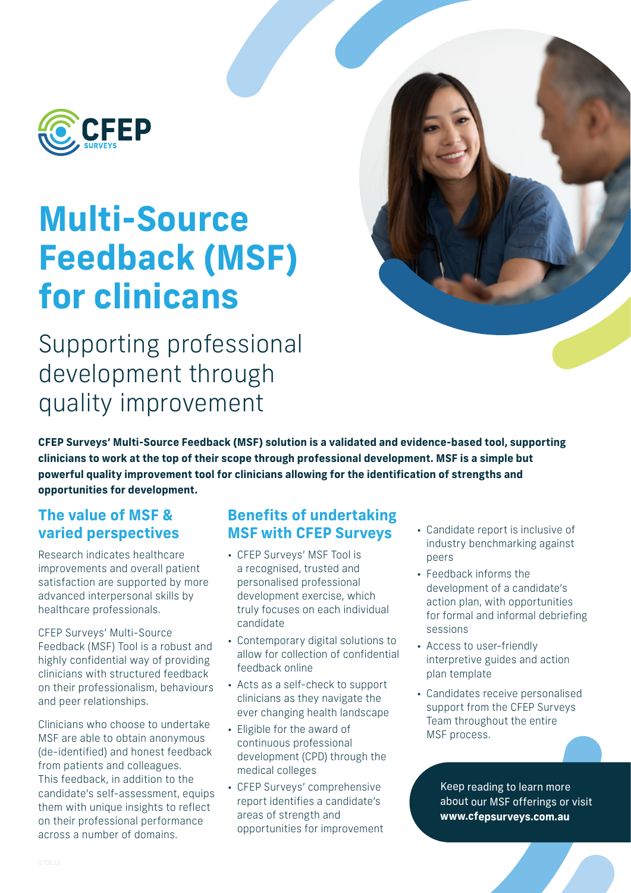

# **Multi-Source Feedback (MSF) for clinicans**

Supporting professional development through quality improvement

**CFEP Surveys' Multi-Source Feedback (MSF) solution is a validated and evidence-based tool, supporting clinicians to work at the top of their scope through professional development. MSF is a simple but powerful quality improvement tool for clinicians allowing for the identification of strengths and opportunities for development.**

## **The value of MSF & varied perspectives**

Research indicates healthcare improvements and overall patient satisfaction are supported by more advanced interpersonal skills by healthcare professionals.

CFEP Surveys' Multi-Source Feedback (MSF) Tool is a robust and highly confidential way of providing clinicians with structured feedback on their professionalism, behaviours and peer relationships.

Clinicians who choose to undertake MSF are able to obtain anonymous (de-identified) and honest feedback from patients and colleagues. This feedback, in addition to the candidate's self-assessment, equips them with unique insights to reflect on their professional performance across a number of domains.

## **Benefits of undertaking MSF with CFEP Surveys**

- CFEP Surveys' MSF Tool is a recognised, trusted and personalised professional development exercise, which truly focuses on each individual candidate
- Contemporary digital solutions to allow for collection of confidential feedback online
- Acts as a self-check to support clinicians as they navigate the ever changing health landscape
- Eligible for the award of continuous professional development (CPD) through the medical colleges
- CFEP Surveys' comprehensive report identifies a candidate's areas of strength and opportunities for improvement
- Candidate report is inclusive of industry benchmarking against peers
- Feedback informs the development of a candidate's action plan, with opportunities for formal and informal debriefing sessions
- Access to user-friendly interpretive guides and action plan template
- Candidates receive personalised support from the CFEP Surveys Team throughout the entire MSF process.

Keep reading to learn more about our MSF offerings or visit **[www.cfepsurveys.co](http://www.cfepsurveys.co.uk)m.au**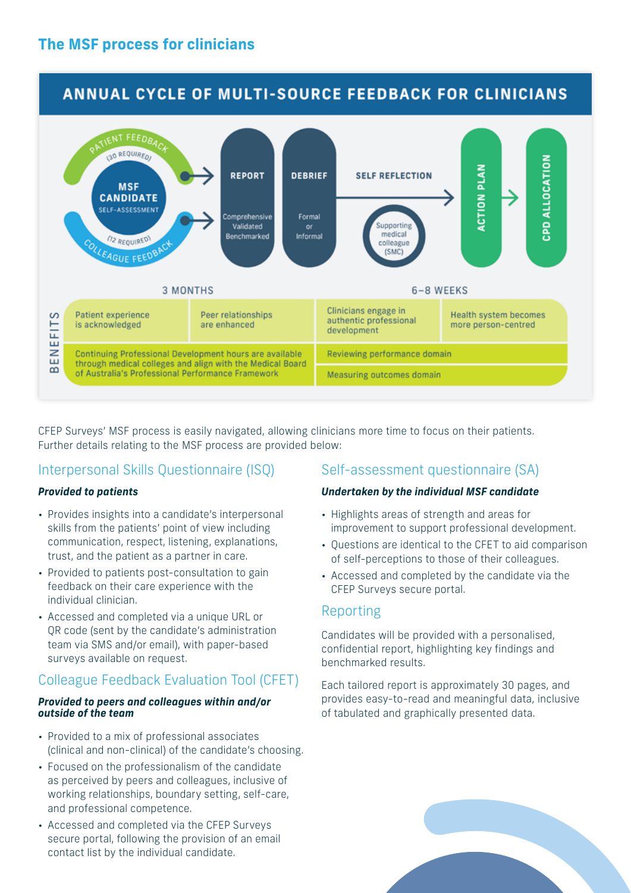## **ANNUAL CYCLE OF MULTI-SOURCE FEEDBACK FOR CLINICIANS**



CFEP Surveys' MSF process is easily navigated, allowing clinicians more time to focus on their patients. Further details relating to the MSF process are provided below:

## Interpersonal Skills Questionnaire (ISQ)

#### *Provided to patients*

- Provides insights into a candidate's interpersonal skills from the patients' point of view including communication, respect, listening, explanations, trust, and the patient as a partner in care.
- Provided to patients post-consultation to gain feedback on their care experience with the individual clinician.
- Accessed and completed via a unique URL or QR code (sent by the candidate's administration team via SMS and/or email), with paper-based surveys available on request.

## Colleague Feedback Evaluation Tool (CFET)

#### *Provided to peers and colleagues within and/or outside of the team*

- Provided to a mix of professional associates (clinical and non-clinical) of the candidate's choosing.
- Focused on the professionalism of the candidate as perceived by peers and colleagues, inclusive of working relationships, boundary setting, self-care, and professional competence.
- Accessed and completed via the CFEP Surveys secure portal, following the provision of an email contact list by the individual candidate.

## Self-assessment questionnaire (SA)

#### *Undertaken by the individual MSF candidate*

- Highlights areas of strength and areas for improvement to support professional development.
- Questions are identical to the CFET to aid comparison of self-perceptions to those of their colleagues.
- Accessed and completed by the candidate via the CFEP Surveys secure portal.

## Reporting

Candidates will be provided with a personalised, confidential report, highlighting key findings and benchmarked results.

Each tailored report is approximately 30 pages, and provides easy-to-read and meaningful data, inclusive of tabulated and graphically presented data.